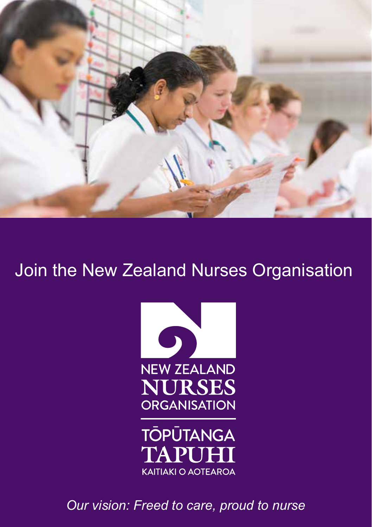

# Join the New Zealand Nurses Organisation





*Our vision: Freed to care, proud to nurse*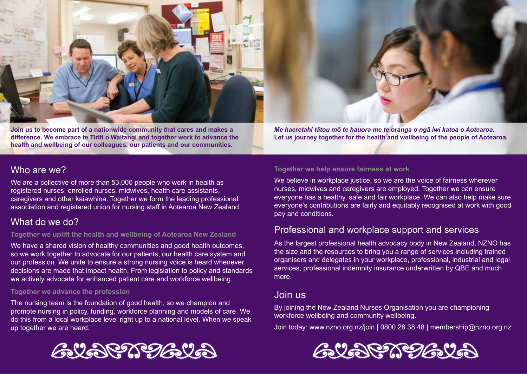

**Join us to become part of a nationwide community that cares and makes a difference. We embrace te Tiriti o Waitangi and together work to advance the health and wellbeing of our colleagues, our patients and our communities.** 

*Me haeretahi tātou mō te hauora me te oranga o ngā iwi katoa o Aotearoa.* **Let us journey together for the health and wellbeing of the people of Aotearoa.**

### Who are we?

We are a collective of more than 53,000 people who work in health as registered nurses, enrolled nurses, midwives, health care assistants, caregivers and other kaiawhina. Together we form the leading professional association and registered union for nursing staff in Aotearoa New Zealand.

## What do we do?

#### **Together we uplift the health and wellbeing of Aotearoa New Zealand**

We have a shared vision of healthy communities and good health outcomes, so we work together to advocate for our patients, our health care system and our profession. We unite to ensure a strong nursing voice is heard whenever decisions are made that impact health. From legislation to policy and standards we actively advocate for enhanced patient care and workforce wellbeing.

#### **Together we advance the profession**

The nursing team is the foundation of good health, so we champion and promote nursing in policy, funding, workforce planning and models of care. We do this from a local workplace level right up to a national level. When we speak up together we are heard.

#### **Together we help ensure fairness at work**

We believe in workplace justice, so we are the voice of fairness wherever nurses, midwives and caregivers are employed. Together we can ensure everyone has a healthy, safe and fair workplace. We can also help make sure everyone's contributions are fairly and equitably recognised at work with good pay and conditions.

### Professional and workplace support and services

As the largest professional health advocacy body in New Zealand, NZNO has the size and the resources to bring you a range of services including trained organisers and delegates in your workplace, professional, industrial and legal services, professional indemnity insurance underwritten by QBE and much more.

### Join us

By joining the New Zealand Nurses Organisation you are championing workforce wellbeing and community wellbeing.

Join today: www.nzno.org.nz/join | 0800 28 38 48 | membership@nzno.org.nz